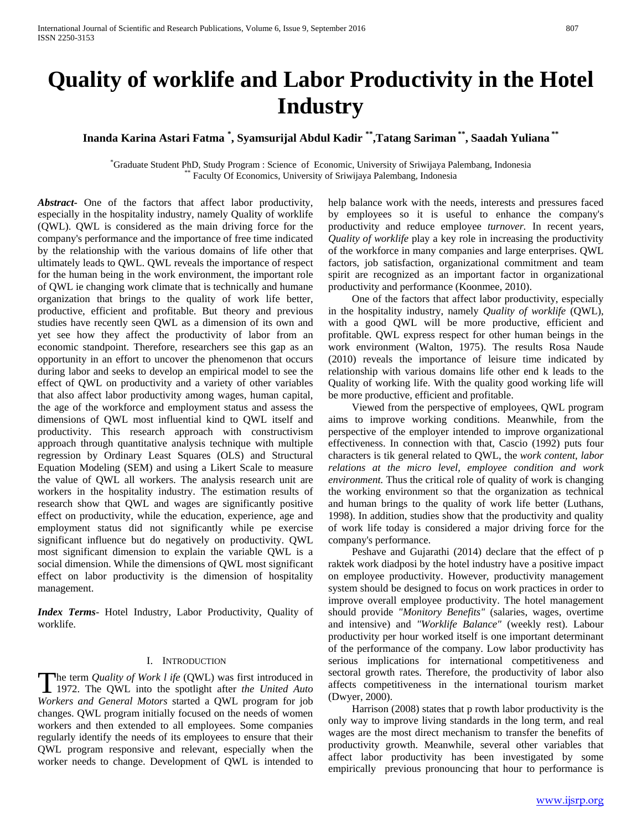# **Quality of worklife and Labor Productivity in the Hotel Industry**

**Inanda Karina Astari Fatma \* , Syamsurijal Abdul Kadir \*\*,Tatang Sariman \*\*, Saadah Yuliana \*\***

\* Graduate Student PhD, Study Program : Science of Economic, University of Sriwijaya Palembang, Indonesia \*\* Faculty Of Economics, University of Sriwijaya Palembang, Indonesia

*Abstract***-** One of the factors that affect labor productivity, especially in the hospitality industry, namely Quality of worklife (QWL). QWL is considered as the main driving force for the company's performance and the importance of free time indicated by the relationship with the various domains of life other that ultimately leads to QWL. QWL reveals the importance of respect for the human being in the work environment, the important role of QWL ie changing work climate that is technically and humane organization that brings to the quality of work life better, productive, efficient and profitable. But theory and previous studies have recently seen QWL as a dimension of its own and yet see how they affect the productivity of labor from an economic standpoint. Therefore, researchers see this gap as an opportunity in an effort to uncover the phenomenon that occurs during labor and seeks to develop an empirical model to see the effect of QWL on productivity and a variety of other variables that also affect labor productivity among wages, human capital, the age of the workforce and employment status and assess the dimensions of QWL most influential kind to QWL itself and productivity. This research approach with constructivism approach through quantitative analysis technique with multiple regression by Ordinary Least Squares (OLS) and Structural Equation Modeling (SEM) and using a Likert Scale to measure the value of QWL all workers. The analysis research unit are workers in the hospitality industry. The estimation results of research show that QWL and wages are significantly positive effect on productivity, while the education, experience, age and employment status did not significantly while pe exercise significant influence but do negatively on productivity. QWL most significant dimension to explain the variable QWL is a social dimension. While the dimensions of QWL most significant effect on labor productivity is the dimension of hospitality management.

*Index Terms*- Hotel Industry, Labor Productivity, Quality of worklife.

#### I. INTRODUCTION

he term *Quality of Work l ife* (QWL) was first introduced in The term *Quality of Work l ife* (QWL) was first introduced in 1972. The QWL into the spotlight after *the United Auto*  $W = \frac{1}{2}$ *Workers and General Motors* started a QWL program for job changes. QWL program initially focused on the needs of women workers and then extended to all employees. Some companies regularly identify the needs of its employees to ensure that their QWL program responsive and relevant, especially when the worker needs to change. Development of QWL is intended to

help balance work with the needs, interests and pressures faced by employees so it is useful to enhance the company's productivity and reduce employee *turnover.* In recent years, *Quality of worklife* play a key role in increasing the productivity of the workforce in many companies and large enterprises. QWL factors, job satisfaction, organizational commitment and team spirit are recognized as an important factor in organizational productivity and performance (Koonmee, 2010).

 One of the factors that affect labor productivity, especially in the hospitality industry, namely *Quality of worklife* (QWL), with a good QWL will be more productive, efficient and profitable. QWL express respect for other human beings in the work environment (Walton, 1975). The results Rosa Naude (2010) reveals the importance of leisure time indicated by relationship with various domains life other end k leads to the Quality of working life. With the quality good working life will be more productive, efficient and profitable.

 Viewed from the perspective of employees, QWL program aims to improve working conditions. Meanwhile, from the perspective of the employer intended to improve organizational effectiveness. In connection with that, Cascio (1992) puts four characters is tik general related to QWL, the *work content, labor relations at the micro level, employee condition and work environment.* Thus the critical role of quality of work is changing the working environment so that the organization as technical and human brings to the quality of work life better (Luthans, 1998). In addition, studies show that the productivity and quality of work life today is considered a major driving force for the company's performance.

 Peshave and Gujarathi (2014) declare that the effect of p raktek work diadposi by the hotel industry have a positive impact on employee productivity. However, productivity management system should be designed to focus on work practices in order to improve overall employee productivity. The hotel management should provide *"Monitory Benefits"* (salaries, wages, overtime and intensive) and *"Worklife Balance"* (weekly rest). Labour productivity per hour worked itself is one important determinant of the performance of the company. Low labor productivity has serious implications for international competitiveness and sectoral growth rates. Therefore, the productivity of labor also affects competitiveness in the international tourism market (Dwyer, 2000).

 Harrison (2008) states that p rowth labor productivity is the only way to improve living standards in the long term, and real wages are the most direct mechanism to transfer the benefits of productivity growth. Meanwhile, several other variables that affect labor productivity has been investigated by some empirically previous pronouncing that hour to performance is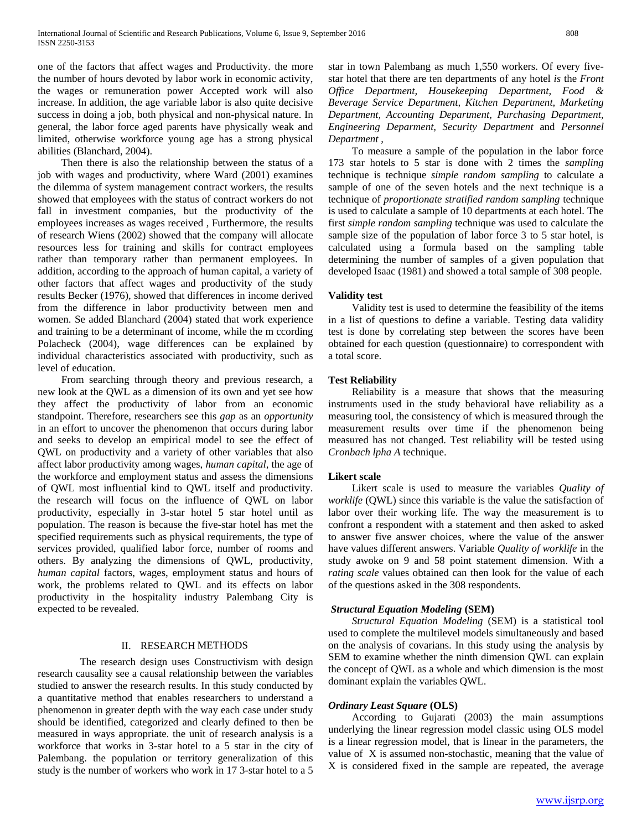one of the factors that affect wages and Productivity. the more the number of hours devoted by labor work in economic activity, the wages or remuneration power Accepted work will also increase. In addition, the age variable labor is also quite decisive success in doing a job, both physical and non-physical nature. In general, the labor force aged parents have physically weak and limited, otherwise workforce young age has a strong physical abilities (Blanchard, 2004).

 Then there is also the relationship between the status of a job with wages and productivity, where Ward (2001) examines the dilemma of system management contract workers, the results showed that employees with the status of contract workers do not fall in investment companies, but the productivity of the employees increases as wages received , Furthermore, the results of research Wiens (2002) showed that the company will allocate resources less for training and skills for contract employees rather than temporary rather than permanent employees. In addition, according to the approach of human capital, a variety of other factors that affect wages and productivity of the study results Becker (1976), showed that differences in income derived from the difference in labor productivity between men and women. Se added Blanchard (2004) stated that work experience and training to be a determinant of income, while the m ccording Polacheck (2004), wage differences can be explained by individual characteristics associated with productivity, such as level of education.

 From searching through theory and previous research, a new look at the QWL as a dimension of its own and yet see how they affect the productivity of labor from an economic standpoint. Therefore, researchers see this *gap* as an *opportunity* in an effort to uncover the phenomenon that occurs during labor and seeks to develop an empirical model to see the effect of QWL on productivity and a variety of other variables that also affect labor productivity among wages, *human capital,* the age of the workforce and employment status and assess the dimensions of QWL most influential kind to QWL itself and productivity. the research will focus on the influence of QWL on labor productivity, especially in 3-star hotel 5 star hotel until as population. The reason is because the five-star hotel has met the specified requirements such as physical requirements, the type of services provided, qualified labor force, number of rooms and others. By analyzing the dimensions of QWL, productivity, *human capital* factors, wages, employment status and hours of work, the problems related to QWL and its effects on labor productivity in the hospitality industry Palembang City is expected to be revealed.

# II. RESEARCH METHODS

 The research design uses Constructivism with design research causality see a causal relationship between the variables studied to answer the research results. In this study conducted by a quantitative method that enables researchers to understand a phenomenon in greater depth with the way each case under study should be identified, categorized and clearly defined to then be measured in ways appropriate. the unit of research analysis is a workforce that works in 3-star hotel to a 5 star in the city of Palembang. the population or territory generalization of this study is the number of workers who work in 17 3-star hotel to a 5

star in town Palembang as much 1,550 workers. Of every fivestar hotel that there are ten departments of any hotel *is* the *Front Office Department, Housekeeping Department, Food & Beverage Service Department, Kitchen Department, Marketing Department, Accounting Department, Purchasing Department, Engineering Deparment, Security Department* and *Personnel Department* ,

 To measure a sample of the population in the labor force 173 star hotels to 5 star is done with 2 times the *sampling* technique is technique *simple random sampling* to calculate a sample of one of the seven hotels and the next technique is a technique of *proportionate stratified random sampling* technique is used to calculate a sample of 10 departments at each hotel. The first *simple random sampling* technique was used to calculate the sample size of the population of labor force 3 to 5 star hotel, is calculated using a formula based on the sampling table determining the number of samples of a given population that developed Isaac (1981) and showed a total sample of 308 people.

#### **Validity test**

 Validity test is used to determine the feasibility of the items in a list of questions to define a variable. Testing data validity test is done by correlating step between the scores have been obtained for each question (questionnaire) to correspondent with a total score.

# **Test Reliability**

 Reliability is a measure that shows that the measuring instruments used in the study behavioral have reliability as a measuring tool, the consistency of which is measured through the measurement results over time if the phenomenon being measured has not changed. Test reliability will be tested using *Cronbach lpha A* technique.

#### **Likert scale**

 Likert scale is used to measure the variables *Quality of worklife* (QWL) since this variable is the value the satisfaction of labor over their working life. The way the measurement is to confront a respondent with a statement and then asked to asked to answer five answer choices, where the value of the answer have values different answers. Variable *Quality of worklife* in the study awoke on 9 and 58 point statement dimension. With a *rating scale* values obtained can then look for the value of each of the questions asked in the 308 respondents.

### *Structural Equation Modeling* **(SEM)**

 *Structural Equation Modeling* (SEM) is a statistical tool used to complete the multilevel models simultaneously and based on the analysis of covarians. In this study using the analysis by SEM to examine whether the ninth dimension QWL can explain the concept of QWL as a whole and which dimension is the most dominant explain the variables QWL.

# *Ordinary Least Square* **(OLS)**

 According to Gujarati (2003) the main assumptions underlying the linear regression model classic using OLS model is a linear regression model, that is linear in the parameters, the value of X is assumed non-stochastic, meaning that the value of X is considered fixed in the sample are repeated, the average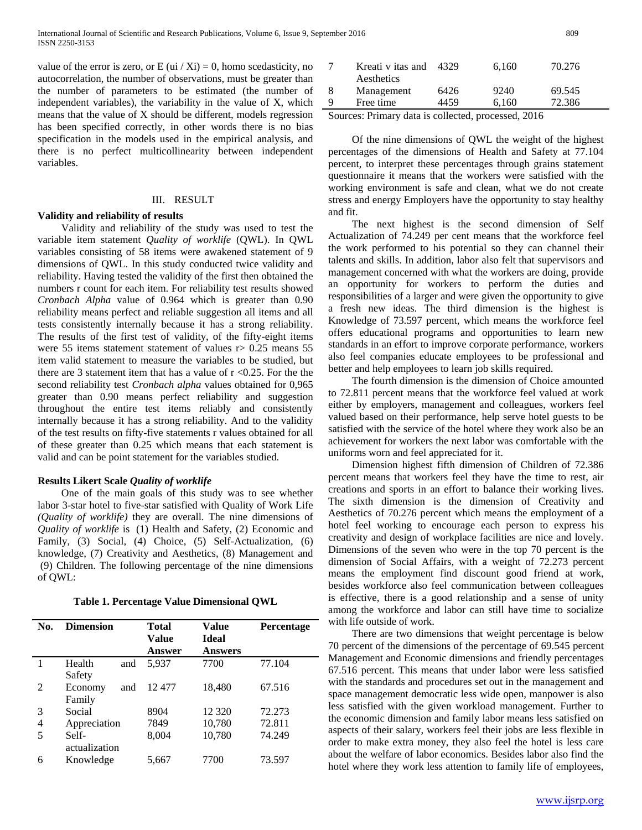value of the error is zero, or E (ui / Xi) = 0, homo scedasticity, no autocorrelation, the number of observations, must be greater than the number of parameters to be estimated (the number of independent variables), the variability in the value of X, which means that the value of X should be different, models regression has been specified correctly, in other words there is no bias specification in the models used in the empirical analysis, and there is no perfect multicollinearity between independent variables.

# III. RESULT

#### **Validity and reliability of results**

 Validity and reliability of the study was used to test the variable item statement *Quality of worklife* (QWL). In QWL variables consisting of 58 items were awakened statement of 9 dimensions of QWL. In this study conducted twice validity and reliability. Having tested the validity of the first then obtained the numbers r count for each item. For reliability test results showed *Cronbach Alpha* value of 0.964 which is greater than 0.90 reliability means perfect and reliable suggestion all items and all tests consistently internally because it has a strong reliability. The results of the first test of validity, of the fifty-eight items were 55 items statement statement of values  $r > 0.25$  means 55 item valid statement to measure the variables to be studied, but there are 3 statement item that has a value of  $r < 0.25$ . For the the second reliability test *Cronbach alpha* values obtained for 0,965 greater than 0.90 means perfect reliability and suggestion throughout the entire test items reliably and consistently internally because it has a strong reliability. And to the validity of the test results on fifty-five statements r values obtained for all of these greater than 0.25 which means that each statement is valid and can be point statement for the variables studied.

## **Results Likert Scale** *Quality of worklife*

 One of the main goals of this study was to see whether labor 3-star hotel to five-star satisfied with Quality of Work Life *(Quality of worklife)* they are overall. The nine dimensions of *Quality of worklife* is (1) Health and Safety, (2) Economic and Family, (3) Social, (4) Choice, (5) Self-Actualization, (6) knowledge, (7) Creativity and Aesthetics, (8) Management and (9) Children. The following percentage of the nine dimensions of QWL:

| Table 1. Percentage Value Dimensional QWL |  |  |
|-------------------------------------------|--|--|
|-------------------------------------------|--|--|

| No.            | <b>Dimension</b> |     | <b>Total</b><br>Value | Value<br><b>Ideal</b> | Percentage |
|----------------|------------------|-----|-----------------------|-----------------------|------------|
|                |                  |     | Answer                | <b>Answers</b>        |            |
|                | Health           | and | 5,937                 | 7700                  | 77.104     |
|                | Safety           |     |                       |                       |            |
| $\mathfrak{D}$ | Economy          | and | 12477                 | 18,480                | 67.516     |
|                | Family           |     |                       |                       |            |
| 3              | Social           |     | 8904                  | 12 3 20               | 72.273     |
| 4              | Appreciation     |     | 7849                  | 10,780                | 72.811     |
| 5              | Self-            |     | 8,004                 | 10,780                | 74.249     |
|                | actualization    |     |                       |                       |            |
| 6              | Knowledge        |     | 5,667                 | 7700                  | 73.597     |
|                |                  |     |                       |                       |            |

|   | Kreati v itas and<br>Aesthetics | 4329 | 6,160 | 70.276 |  |
|---|---------------------------------|------|-------|--------|--|
| 8 | Management                      | 6426 | 9240  | 69.545 |  |
| 9 | Free time                       | 4459 | 6.160 | 72.386 |  |
|   |                                 |      |       |        |  |

Sources: Primary data is collected, processed, 2016

 Of the nine dimensions of QWL the weight of the highest percentages of the dimensions of Health and Safety at 77.104 percent, to interpret these percentages through grains statement questionnaire it means that the workers were satisfied with the working environment is safe and clean, what we do not create stress and energy Employers have the opportunity to stay healthy and fit.

 The next highest is the second dimension of Self Actualization of 74.249 per cent means that the workforce feel the work performed to his potential so they can channel their talents and skills. In addition, labor also felt that supervisors and management concerned with what the workers are doing, provide an opportunity for workers to perform the duties and responsibilities of a larger and were given the opportunity to give a fresh new ideas. The third dimension is the highest is Knowledge of 73.597 percent, which means the workforce feel offers educational programs and opportunities to learn new standards in an effort to improve corporate performance, workers also feel companies educate employees to be professional and better and help employees to learn job skills required.

 The fourth dimension is the dimension of Choice amounted to 72.811 percent means that the workforce feel valued at work either by employers, management and colleagues, workers feel valued based on their performance, help serve hotel guests to be satisfied with the service of the hotel where they work also be an achievement for workers the next labor was comfortable with the uniforms worn and feel appreciated for it.

 Dimension highest fifth dimension of Children of 72.386 percent means that workers feel they have the time to rest, air creations and sports in an effort to balance their working lives. The sixth dimension is the dimension of Creativity and Aesthetics of 70.276 percent which means the employment of a hotel feel working to encourage each person to express his creativity and design of workplace facilities are nice and lovely. Dimensions of the seven who were in the top 70 percent is the dimension of Social Affairs, with a weight of 72.273 percent means the employment find discount good friend at work, besides workforce also feel communication between colleagues is effective, there is a good relationship and a sense of unity among the workforce and labor can still have time to socialize with life outside of work.

 There are two dimensions that weight percentage is below 70 percent of the dimensions of the percentage of 69.545 percent Management and Economic dimensions and friendly percentages 67.516 percent. This means that under labor were less satisfied with the standards and procedures set out in the management and space management democratic less wide open, manpower is also less satisfied with the given workload management. Further to the economic dimension and family labor means less satisfied on aspects of their salary, workers feel their jobs are less flexible in order to make extra money, they also feel the hotel is less care about the welfare of labor economics. Besides labor also find the hotel where they work less attention to family life of employees,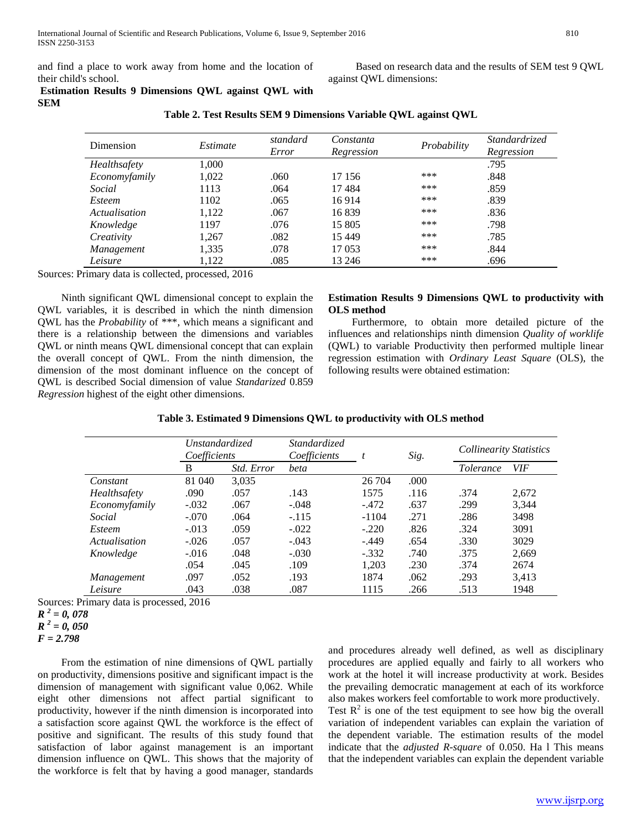and find a place to work away from home and the location of their child's school.

 Based on research data and the results of SEM test 9 QWL against QWL dimensions:

# **Estimation Results 9 Dimensions QWL against QWL with SEM**

| Dimension           | Estimate | standard<br>Error | Constanta<br>Regression | Probability | Standardrized<br>Regression |
|---------------------|----------|-------------------|-------------------------|-------------|-----------------------------|
| <b>Healthsafety</b> | 1,000    |                   |                         |             | .795                        |
| Economyfamily       | 1,022    | .060              | 17 15 6                 | ***         | .848                        |
| Social              | 1113     | .064              | 17484                   | ***         | .859                        |
| Esteem              | 1102     | .065              | 16914                   | ***         | .839                        |
| Actualisation       | 1,122    | .067              | 16839                   | ***         | .836                        |
| Knowledge           | 1197     | .076              | 15 805                  | ***         | .798                        |
| Creativity          | 1,267    | .082              | 15 4 49                 | ***         | .785                        |
| Management          | 1,335    | .078              | 17 053                  | ***         | .844                        |
| Leisure             | 1,122    | .085              | 13 24 6                 | ***         | .696                        |

**Table 2. Test Results SEM 9 Dimensions Variable QWL against QWL**

Sources: Primary data is collected, processed, 2016

 Ninth significant QWL dimensional concept to explain the QWL variables, it is described in which the ninth dimension QWL has the *Probability* of \*\*\*, which means a significant and there is a relationship between the dimensions and variables QWL or ninth means QWL dimensional concept that can explain the overall concept of QWL. From the ninth dimension, the dimension of the most dominant influence on the concept of QWL is described Social dimension of value *Standarized* 0.859 *Regression* highest of the eight other dimensions.

# **Estimation Results 9 Dimensions QWL to productivity with OLS method**

 Furthermore, to obtain more detailed picture of the influences and relationships ninth dimension *Quality of worklife* (QWL) to variable Productivity then performed multiple linear regression estimation with *Ordinary Least Square* (OLS), the following results were obtained estimation:

|               | <i>Unstandardized</i><br>Coefficients |            | <i>Standardized</i><br>Coefficients | t       | Sig. | <b>Collinearity Statistics</b> |            |
|---------------|---------------------------------------|------------|-------------------------------------|---------|------|--------------------------------|------------|
|               | B                                     | Std. Error | beta                                |         |      | <i>Tolerance</i>               | <b>VIF</b> |
| Constant      | 81 040                                | 3,035      |                                     | 26 704  | .000 |                                |            |
| Healthsafety  | .090                                  | .057       | .143                                | 1575    | .116 | .374                           | 2,672      |
| Economyfamily | $-.032$                               | .067       | $-.048$                             | $-.472$ | .637 | .299                           | 3,344      |
| Social        | $-.070$                               | .064       | $-.115$                             | $-1104$ | .271 | .286                           | 3498       |
| <i>Esteem</i> | $-.013$                               | .059       | $-.022$                             | $-.220$ | .826 | .324                           | 3091       |
| Actualisation | $-.026$                               | .057       | $-.043$                             | $-.449$ | .654 | .330                           | 3029       |
| Knowledge     | $-.016$                               | .048       | $-.030$                             | $-.332$ | .740 | .375                           | 2,669      |
|               | .054                                  | .045       | .109                                | 1,203   | .230 | .374                           | 2674       |
| Management    | .097                                  | .052       | .193                                | 1874    | .062 | .293                           | 3,413      |
| Leisure       | .043                                  | .038       | .087                                | 1115    | .266 | .513                           | 1948       |

**Table 3. Estimated 9 Dimensions QWL to productivity with OLS method**

Sources: Primary data is processed, 2016

 From the estimation of nine dimensions of QWL partially on productivity, dimensions positive and significant impact is the dimension of management with significant value 0,062. While eight other dimensions not affect partial significant to productivity, however if the ninth dimension is incorporated into a satisfaction score against QWL the workforce is the effect of positive and significant. The results of this study found that satisfaction of labor against management is an important dimension influence on QWL. This shows that the majority of the workforce is felt that by having a good manager, standards

and procedures already well defined, as well as disciplinary procedures are applied equally and fairly to all workers who work at the hotel it will increase productivity at work. Besides the prevailing democratic management at each of its workforce also makes workers feel comfortable to work more productively. Test  $R^2$  is one of the test equipment to see how big the overall variation of independent variables can explain the variation of the dependent variable. The estimation results of the model

indicate that the *adjusted R-square* of 0.050. Ha l This means that the independent variables can explain the dependent variable

[www.ijsrp.org](http://ijsrp.org/)

*R <sup>2</sup> = 0, 078*

*R <sup>2</sup> = 0, 050*

*F = 2.798*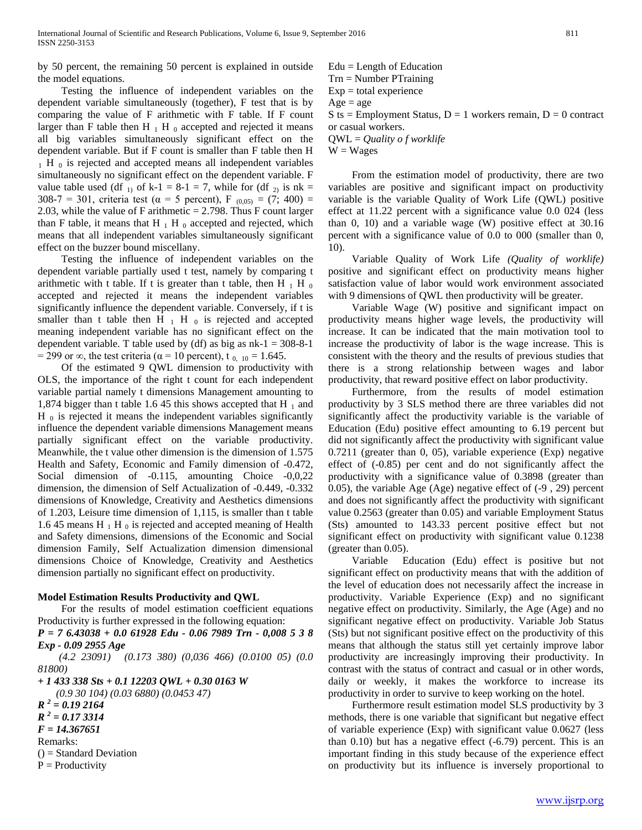by 50 percent, the remaining 50 percent is explained in outside the model equations.

 Testing the influence of independent variables on the dependent variable simultaneously (together), F test that is by comparing the value of F arithmetic with F table. If F count larger than F table then H  $_1$  H  $_0$  accepted and rejected it means all big variables simultaneously significant effect on the dependent variable. But if F count is smaller than F table then H  $_1$  H  $_0$  is rejected and accepted means all independent variables simultaneously no significant effect on the dependent variable. F value table used (df  $_{1}$ ) of k-1 = 8-1 = 7, while for (df  $_{2}$ ) is nk = 308-7 = 301, criteria test ( $\alpha$  = 5 percent), F <sub>(0,05)</sub> = (7; 400) = 2.03, while the value of F arithmetic  $= 2.798$ . Thus F count larger than F table, it means that H  $_1$  H  $_0$  accepted and rejected, which means that all independent variables simultaneously significant effect on the buzzer bound miscellany.

 Testing the influence of independent variables on the dependent variable partially used t test, namely by comparing t arithmetic with t table. If t is greater than t table, then H  $_1$  H  $_0$ accepted and rejected it means the independent variables significantly influence the dependent variable. Conversely, if t is smaller than t table then H  $_1$  H  $_0$  is rejected and accepted meaning independent variable has no significant effect on the dependent variable. T table used by (df) as big as  $nk-1 = 308-8-1$ = 299 or  $\infty$ , the test criteria ( $\alpha$  = 10 percent), t<sub>0, 10</sub> = 1.645.

 Of the estimated 9 QWL dimension to productivity with OLS, the importance of the right t count for each independent variable partial namely t dimensions Management amounting to 1,874 bigger than t table 1.6 45 this shows accepted that H  $_1$  and  $H_0$  is rejected it means the independent variables significantly influence the dependent variable dimensions Management means partially significant effect on the variable productivity. Meanwhile, the t value other dimension is the dimension of 1.575 Health and Safety, Economic and Family dimension of -0.472, Social dimension of -0.115, amounting Choice -0,0,22 dimension, the dimension of Self Actualization of -0.449, -0.332 dimensions of Knowledge, Creativity and Aesthetics dimensions of 1.203, Leisure time dimension of 1,115, is smaller than t table 1.6 45 means H  $_1$  H  $_0$  is rejected and accepted meaning of Health and Safety dimensions, dimensions of the Economic and Social dimension Family, Self Actualization dimension dimensional dimensions Choice of Knowledge, Creativity and Aesthetics dimension partially no significant effect on productivity.

# **Model Estimation Results Productivity and QWL**

 For the results of model estimation coefficient equations Productivity is further expressed in the following equation:

*P = 7 6.43038 + 0.0 61928 Edu - 0.06 7989 Trn - 0,008 5 3 8 Exp - 0.09 2955 Age*

 *(4.2 23091) (0.173 380) (0,036 466) (0.0100 05) (0.0 81800)*

*+ 1 433 338 Sts + 0.1 12203 QWL + 0.30 0163 W (0.9 30 104) (0.03 6880) (0.0453 47) R <sup>2</sup> = 0.19 2164 R <sup>2</sup> = 0.17 3314 F = 14.367651*

Remarks:

- () = Standard Deviation
- $P = Productivity$

 $Edu = Length of Education$ Trn = Number PTraining  $Exp = total$  experience  $Age = age$  $S$  ts = Employment Status,  $D = 1$  workers remain,  $D = 0$  contract or casual workers.

QWL = *Quality o f worklife*

 $W = Wages$ 

 From the estimation model of productivity, there are two variables are positive and significant impact on productivity variable is the variable Quality of Work Life (QWL) positive effect at 11.22 percent with a significance value 0.0 024 (less than 0, 10) and a variable wage (W) positive effect at 30.16 percent with a significance value of 0.0 to 000 (smaller than 0, 10).

 Variable Quality of Work Life *(Quality of worklife)* positive and significant effect on productivity means higher satisfaction value of labor would work environment associated with 9 dimensions of OWL then productivity will be greater.

 Variable Wage (W) positive and significant impact on productivity means higher wage levels, the productivity will increase. It can be indicated that the main motivation tool to increase the productivity of labor is the wage increase. This is consistent with the theory and the results of previous studies that there is a strong relationship between wages and labor productivity, that reward positive effect on labor productivity.

 Furthermore, from the results of model estimation productivity by 3 SLS method there are three variables did not significantly affect the productivity variable is the variable of Education (Edu) positive effect amounting to 6.19 percent but did not significantly affect the productivity with significant value 0.7211 (greater than 0, 05), variable experience (Exp) negative effect of (-0.85) per cent and do not significantly affect the productivity with a significance value of 0.3898 (greater than 0.05), the variable Age (Age) negative effect of (-9 , 29) percent and does not significantly affect the productivity with significant value 0.2563 (greater than 0.05) and variable Employment Status (Sts) amounted to 143.33 percent positive effect but not significant effect on productivity with significant value 0.1238 (greater than 0.05).

 Variable Education (Edu) effect is positive but not significant effect on productivity means that with the addition of the level of education does not necessarily affect the increase in productivity. Variable Experience (Exp) and no significant negative effect on productivity. Similarly, the Age (Age) and no significant negative effect on productivity. Variable Job Status (Sts) but not significant positive effect on the productivity of this means that although the status still yet certainly improve labor productivity are increasingly improving their productivity. In contrast with the status of contract and casual or in other words, daily or weekly, it makes the workforce to increase its productivity in order to survive to keep working on the hotel.

 Furthermore result estimation model SLS productivity by 3 methods, there is one variable that significant but negative effect of variable experience (Exp) with significant value 0.0627 (less than  $0.10$ ) but has a negative effect  $(-6.79)$  percent. This is an important finding in this study because of the experience effect on productivity but its influence is inversely proportional to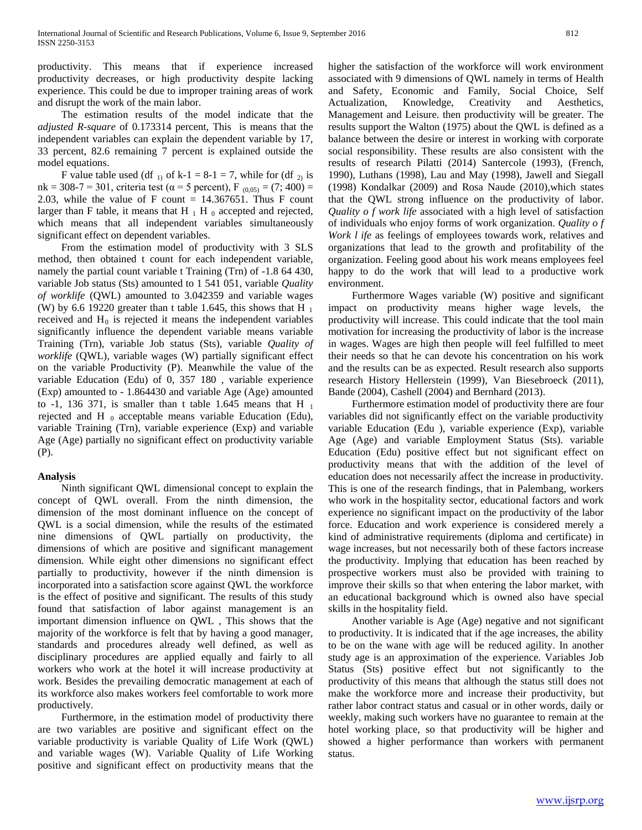productivity. This means that if experience increased productivity decreases, or high productivity despite lacking experience. This could be due to improper training areas of work and disrupt the work of the main labor.

 The estimation results of the model indicate that the *adjusted R-square* of 0.173314 percent, This is means that the independent variables can explain the dependent variable by 17, 33 percent, 82.6 remaining 7 percent is explained outside the model equations.

F value table used (df  $_1$ ) of k-1 = 8-1 = 7, while for (df  $_2$ ) is nk = 308-7 = 301, criteria test (α = 5 percent), F  $_{(0.05)} = (7, 400)$  = 2.03, while the value of F count  $= 14.367651$ . Thus F count larger than F table, it means that H  $_1$  H  $_0$  accepted and rejected, which means that all independent variables simultaneously significant effect on dependent variables.

 From the estimation model of productivity with 3 SLS method, then obtained t count for each independent variable, namely the partial count variable t Training (Trn) of -1.8 64 430, variable Job status (Sts) amounted to 1 541 051, variable *Quality of worklife* (QWL) amounted to 3.042359 and variable wages (W) by 6.6 19220 greater than t table 1.645, this shows that H  $_1$ received and  $H_0$  is rejected it means the independent variables significantly influence the dependent variable means variable Training (Trn), variable Job status (Sts), variable *Quality of worklife* (QWL), variable wages (W) partially significant effect on the variable Productivity (P). Meanwhile the value of the variable Education (Edu) of 0, 357 180 , variable experience (Exp) amounted to - 1.864430 and variable Age (Age) amounted to -1, 136 371, is smaller than t table 1.645 means that H  $_1$ rejected and H $_0$  acceptable means variable Education (Edu), variable Training (Trn), variable experience (Exp) and variable Age (Age) partially no significant effect on productivity variable (P).

# **Analysis**

 Ninth significant QWL dimensional concept to explain the concept of QWL overall. From the ninth dimension, the dimension of the most dominant influence on the concept of QWL is a social dimension, while the results of the estimated nine dimensions of QWL partially on productivity, the dimensions of which are positive and significant management dimension. While eight other dimensions no significant effect partially to productivity, however if the ninth dimension is incorporated into a satisfaction score against QWL the workforce is the effect of positive and significant. The results of this study found that satisfaction of labor against management is an important dimension influence on QWL , This shows that the majority of the workforce is felt that by having a good manager, standards and procedures already well defined, as well as disciplinary procedures are applied equally and fairly to all workers who work at the hotel it will increase productivity at work. Besides the prevailing democratic management at each of its workforce also makes workers feel comfortable to work more productively.

 Furthermore, in the estimation model of productivity there are two variables are positive and significant effect on the variable productivity is variable Quality of Life Work (QWL) and variable wages (W). Variable Quality of Life Working positive and significant effect on productivity means that the higher the satisfaction of the workforce will work environment associated with 9 dimensions of QWL namely in terms of Health and Safety, Economic and Family, Social Choice, Self Actualization, Knowledge, Creativity and Aesthetics, Management and Leisure. then productivity will be greater. The results support the Walton (1975) about the QWL is defined as a balance between the desire or interest in working with corporate social responsibility. These results are also consistent with the results of research Pilatti (2014) Santercole (1993), (French, 1990), Luthans (1998), Lau and May (1998), Jawell and Siegall (1998) Kondalkar (2009) and Rosa Naude (2010),which states that the QWL strong influence on the productivity of labor. *Quality o f work life* associated with a high level of satisfaction of individuals who enjoy forms of work organization. *Quality o f Work l ife* as feelings of employees towards work, relatives and organizations that lead to the growth and profitability of the organization. Feeling good about his work means employees feel happy to do the work that will lead to a productive work environment.

 Furthermore Wages variable (W) positive and significant impact on productivity means higher wage levels, the productivity will increase. This could indicate that the tool main motivation for increasing the productivity of labor is the increase in wages. Wages are high then people will feel fulfilled to meet their needs so that he can devote his concentration on his work and the results can be as expected. Result research also supports research History Hellerstein (1999), Van Biesebroeck (2011), Bande (2004), Cashell (2004) and Bernhard (2013).

 Furthermore estimation model of productivity there are four variables did not significantly effect on the variable productivity variable Education (Edu ), variable experience (Exp), variable Age (Age) and variable Employment Status (Sts). variable Education (Edu) positive effect but not significant effect on productivity means that with the addition of the level of education does not necessarily affect the increase in productivity. This is one of the research findings, that in Palembang, workers who work in the hospitality sector, educational factors and work experience no significant impact on the productivity of the labor force. Education and work experience is considered merely a kind of administrative requirements (diploma and certificate) in wage increases, but not necessarily both of these factors increase the productivity. Implying that education has been reached by prospective workers must also be provided with training to improve their skills so that when entering the labor market, with an educational background which is owned also have special skills in the hospitality field.

 Another variable is Age (Age) negative and not significant to productivity. It is indicated that if the age increases, the ability to be on the wane with age will be reduced agility. In another study age is an approximation of the experience. Variables Job Status (Sts) positive effect but not significantly to the productivity of this means that although the status still does not make the workforce more and increase their productivity, but rather labor contract status and casual or in other words, daily or weekly, making such workers have no guarantee to remain at the hotel working place, so that productivity will be higher and showed a higher performance than workers with permanent status.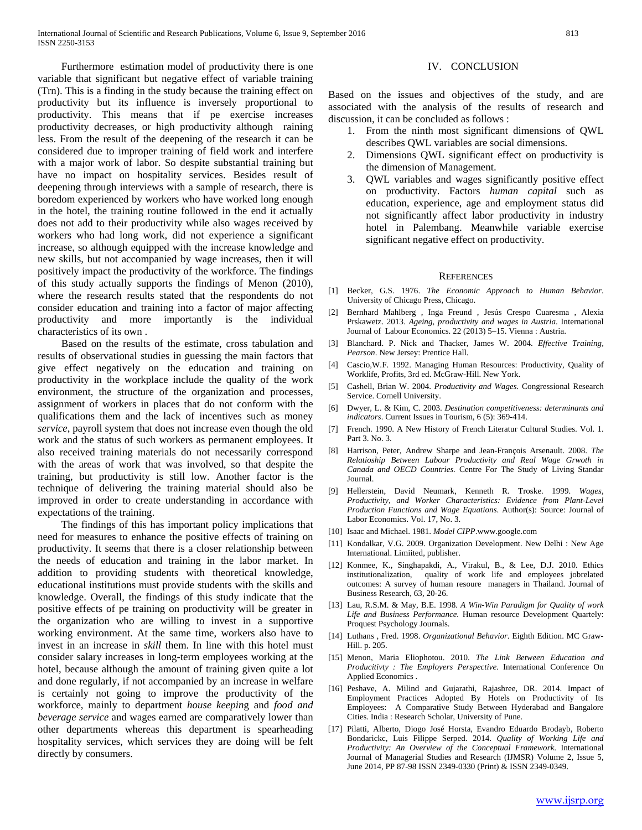Furthermore estimation model of productivity there is one variable that significant but negative effect of variable training (Trn). This is a finding in the study because the training effect on productivity but its influence is inversely proportional to productivity. This means that if pe exercise increases productivity decreases, or high productivity although raining less. From the result of the deepening of the research it can be considered due to improper training of field work and interfere with a major work of labor. So despite substantial training but have no impact on hospitality services. Besides result of deepening through interviews with a sample of research, there is boredom experienced by workers who have worked long enough in the hotel, the training routine followed in the end it actually does not add to their productivity while also wages received by workers who had long work, did not experience a significant increase, so although equipped with the increase knowledge and new skills, but not accompanied by wage increases, then it will positively impact the productivity of the workforce. The findings of this study actually supports the findings of Menon (2010), where the research results stated that the respondents do not consider education and training into a factor of major affecting productivity and more importantly is the individual characteristics of its own .

 Based on the results of the estimate, cross tabulation and results of observational studies in guessing the main factors that give effect negatively on the education and training on productivity in the workplace include the quality of the work environment, the structure of the organization and processes, assignment of workers in places that do not conform with the qualifications them and the lack of incentives such as money *service*, payroll system that does not increase even though the old work and the status of such workers as permanent employees. It also received training materials do not necessarily correspond with the areas of work that was involved, so that despite the training, but productivity is still low. Another factor is the technique of delivering the training material should also be improved in order to create understanding in accordance with expectations of the training.

 The findings of this has important policy implications that need for measures to enhance the positive effects of training on productivity. It seems that there is a closer relationship between the needs of education and training in the labor market. In addition to providing students with theoretical knowledge, educational institutions must provide students with the skills and knowledge. Overall, the findings of this study indicate that the positive effects of pe training on productivity will be greater in the organization who are willing to invest in a supportive working environment. At the same time, workers also have to invest in an increase in *skill* them. In line with this hotel must consider salary increases in long-term employees working at the hotel, because although the amount of training given quite a lot and done regularly, if not accompanied by an increase in welfare is certainly not going to improve the productivity of the workforce, mainly to department *house keepin*g and *food and beverage service* and wages earned are comparatively lower than other departments whereas this department is spearheading hospitality services, which services they are doing will be felt directly by consumers.

# IV. CONCLUSION

Based on the issues and objectives of the study, and are associated with the analysis of the results of research and discussion, it can be concluded as follows :

- 1. From the ninth most significant dimensions of QWL describes QWL variables are social dimensions.
- 2. Dimensions QWL significant effect on productivity is the dimension of Management.
- 3. QWL variables and wages significantly positive effect on productivity. Factors *human capital* such as education, experience, age and employment status did not significantly affect labor productivity in industry hotel in Palembang. Meanwhile variable exercise significant negative effect on productivity.

#### **REFERENCES**

- [1] Becker, G.S. 1976. *The Economic Approach to Human Behavior*. University of Chicago Press, Chicago.
- [2] Bernhard Mahlberg , Inga Freund , Jesús Crespo Cuaresma , Alexia Prskawetz. 2013. *Ageing, productivity and wages in Austria*. International Journal of Labour Economics. 22 (2013) 5–15. Vienna : Austria.
- [3] Blanchard. P. Nick and Thacker, James W. 2004. *Effective Training, Pearson*. New Jersey: Prentice Hall.
- [4] Cascio,W.F. 1992. Managing Human Resources: Productivity, Quality of Worklife, Profits, 3rd ed. McGraw-Hill. New York.
- [5] Cashell, Brian W. 2004. *Productivity and Wages.* Congressional Research Service. Cornell University.
- [6] Dwyer, L. & Kim, C. 2003. *Destination competitiveness: determinants and indicators*. Current Issues in Tourism, 6 (5): 369-414.
- [7] French. 1990. A New History of French Literatur Cultural Studies. Vol. 1. Part 3. No. 3.
- [8] Harrison, Peter, Andrew Sharpe and Jean-François Arsenault. 2008. *The Relatioship Between Labour Productivity and Real Wage Grwoth in Canada and OECD Countries.* Centre For The Study of Living Standar Journal.
- [9] Hellerstein, David Neumark, Kenneth R. Troske. 1999. *Wages, Productivity, and Worker Characteristics: Evidence from Plant-Level Production Functions and Wage Equations*. Author(s): Source: Journal of Labor Economics. Vol. 17, No. 3.
- [10] Isaac and Michael. 1981. *Model CIPP*.www.google.com
- [11] Kondalkar, V.G. 2009. Organization Development. New Delhi : New Age International. Limiited, publisher.
- [12] Konmee, K., Singhapakdi, A., Virakul, B., & Lee, D.J. 2010. Ethics institutionalization, quality of work life and employees jobrelated outcomes: A survey of human resoure managers in Thailand. Journal of Business Research, 63, 20-26.
- [13] Lau, R.S.M. & May, B.E. 1998. *A Win-Win Paradigm for Quality of work Life and Business Performance.* Human resource Development Quartely: Proquest Psychology Journals.
- [14] Luthans , Fred. 1998. *Organizational Behavior*. Eighth Edition. MC Graw-Hill. p. 205.
- [15] Menon, Maria Eliophotou. 2010. *The Link Between Education and Producitivty : The Employers Perspective*. International Conference On Applied Economics .
- [16] Peshave, A. Milind and Gujarathi, Rajashree, DR. 2014. Impact of Employment Practices Adopted By Hotels on Productivity of Its Employees: A Comparative Study Between Hyderabad and Bangalore Cities. India : Research Scholar, University of Pune.
- [17] Pilatti, Alberto, Diogo José Horsta, Evandro Eduardo Brodayb, Roberto Bondarickc, Luis Filippe Serped. 2014. *Quality of Working Life and Productivity: An Overview of the Conceptual Framework*. International Journal of Managerial Studies and Research (IJMSR) Volume 2, Issue 5, June 2014, PP 87-98 ISSN 2349-0330 (Print) & ISSN 2349-0349.